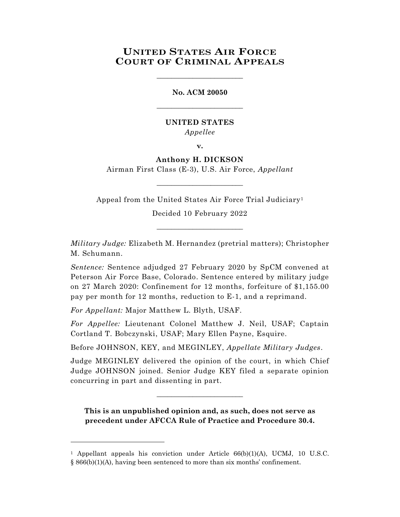# **UNITED STATES AIR FORCE COURT OF CRIMINAL APPEALS**

\_\_\_\_\_\_\_\_\_\_\_\_\_\_\_\_\_\_\_\_\_\_\_\_

**No. ACM 20050** \_\_\_\_\_\_\_\_\_\_\_\_\_\_\_\_\_\_\_\_\_\_\_\_

## **UNITED STATES** *Appellee*

**v.**

# **Anthony H. DICKSON**

Airman First Class (E-3), U.S. Air Force, *Appellant* \_\_\_\_\_\_\_\_\_\_\_\_\_\_\_\_\_\_\_\_\_\_\_\_

Appeal from the United States Air Force Trial Judiciary<sup>1</sup>

Decided 10 February 2022 \_\_\_\_\_\_\_\_\_\_\_\_\_\_\_\_\_\_\_\_\_\_\_\_

*Military Judge:* Elizabeth M. Hernandez (pretrial matters); Christopher M. Schumann.

*Sentence:* Sentence adjudged 27 February 2020 by SpCM convened at Peterson Air Force Base, Colorado. Sentence entered by military judge on 27 March 2020: Confinement for 12 months, forfeiture of \$1,155.00 pay per month for 12 months, reduction to E-1, and a reprimand.

*For Appellant:* Major Matthew L. Blyth, USAF.

l

*For Appellee:* Lieutenant Colonel Matthew J. Neil, USAF; Captain Cortland T. Bobczynski, USAF; Mary Ellen Payne, Esquire.

Before JOHNSON, KEY, and MEGINLEY, *Appellate Military Judges*.

Judge MEGINLEY delivered the opinion of the court, in which Chief Judge JOHNSON joined. Senior Judge KEY filed a separate opinion concurring in part and dissenting in part.

 $\_$ 

**This is an unpublished opinion and, as such, does not serve as precedent under AFCCA Rule of Practice and Procedure 30.4.**

<sup>1</sup> Appellant appeals his conviction under Article 66(b)(1)(A), UCMJ, 10 U.S.C. § 866(b)(1)(A), having been sentenced to more than six months' confinement.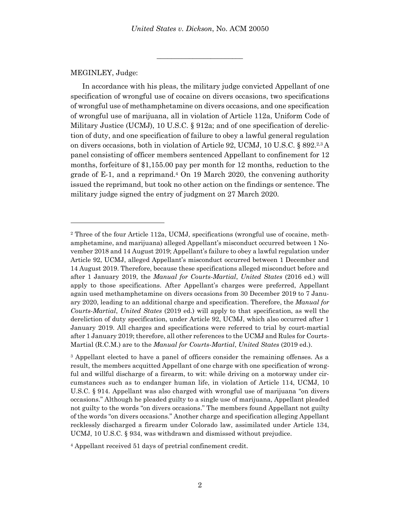\_\_\_\_\_\_\_\_\_\_\_\_\_\_\_\_\_\_\_\_\_\_\_\_

#### MEGINLEY, Judge:

l

In accordance with his pleas, the military judge convicted Appellant of one specification of wrongful use of cocaine on divers occasions, two specifications of wrongful use of methamphetamine on divers occasions, and one specification of wrongful use of marijuana, all in violation of Article 112a, Uniform Code of Military Justice (UCMJ), 10 U.S.C. § 912a; and of one specification of dereliction of duty, and one specification of failure to obey a lawful general regulation on divers occasions, both in violation of Article 92, UCMJ, 10 U.S.C. § 892.<sup>2,3</sup> A panel consisting of officer members sentenced Appellant to confinement for 12 months, forfeiture of \$1,155.00 pay per month for 12 months, reduction to the grade of E-1, and a reprimand. <sup>4</sup> On 19 March 2020, the convening authority issued the reprimand, but took no other action on the findings or sentence. The military judge signed the entry of judgment on 27 March 2020.

<sup>2</sup> Three of the four Article 112a, UCMJ, specifications (wrongful use of cocaine, methamphetamine, and marijuana) alleged Appellant's misconduct occurred between 1 November 2018 and 14 August 2019; Appellant's failure to obey a lawful regulation under Article 92, UCMJ, alleged Appellant's misconduct occurred between 1 December and 14 August 2019. Therefore, because these specifications alleged misconduct before and after 1 January 2019, the *Manual for Courts-Martial*, *United States* (2016 ed.) will apply to those specifications. After Appellant's charges were preferred, Appellant again used methamphetamine on divers occasions from 30 December 2019 to 7 January 2020, leading to an additional charge and specification. Therefore, the *Manual for Courts-Martial*, *United States* (2019 ed.) will apply to that specification, as well the dereliction of duty specification, under Article 92, UCMJ, which also occurred after 1 January 2019. All charges and specifications were referred to trial by court-martial after 1 January 2019; therefore, all other references to the UCMJ and Rules for Courts-Martial (R.C.M.) are to the *Manual for Courts-Martial*, *United States* (2019 ed.).

<sup>3</sup> Appellant elected to have a panel of officers consider the remaining offenses. As a result, the members acquitted Appellant of one charge with one specification of wrongful and willful discharge of a firearm, to wit: while driving on a motorway under circumstances such as to endanger human life, in violation of Article 114, UCMJ, 10 U.S.C. § 914. Appellant was also charged with wrongful use of marijuana "on divers occasions." Although he pleaded guilty to a single use of marijuana, Appellant pleaded not guilty to the words "on divers occasions." The members found Appellant not guilty of the words "on divers occasions." Another charge and specification alleging Appellant recklessly discharged a firearm under Colorado law, assimilated under Article 134, UCMJ, 10 U.S.C. § 934, was withdrawn and dismissed without prejudice.

<sup>4</sup> Appellant received 51 days of pretrial confinement credit.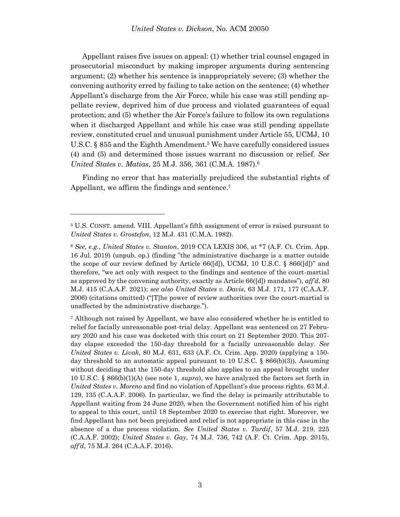Appellant raises five issues on appeal: (1) whether trial counsel engaged in prosecutorial misconduct by making improper arguments during sentencing argument; (2) whether his sentence is inappropriately severe; (3) whether the convening authority erred by failing to take action on the sentence; (4) whether Appellant's discharge from the Air Force, while his case was still pending appellate review, deprived him of due process and violated guarantees of equal protection; and (5) whether the Air Force's failure to follow its own regulations when it discharged Appellant and while his case was still pending appellate review, constituted cruel and unusual punishment under Article 55, UCMJ, 10 U.S.C. § 855 and the Eighth Amendment.<sup>5</sup> We have carefully considered issues (4) and (5) and determined those issues warrant no discussion or relief. *See United States v. Matias*, 25 M.J. 356, 361 (C.M.A. 1987).<sup>6</sup>

Finding no error that has materially prejudiced the substantial rights of Appellant, we affirm the findings and sentence. 7

<sup>5</sup> U.S. CONST. amend. VIII. Appellant's fifth assignment of error is raised pursuant to *United States v. Grostefon*, 12 M.J. 431 (C.M.A. 1982).

<sup>6</sup> *See, e.g.*, *United States v. Stanton*, 2019 CCA LEXIS 306, at \*7 (A.F. Ct. Crim. App. 16 Jul. 2019) (unpub. op.) (finding "the administrative discharge is a matter outside the scope of our review defined by Article  $66([d])$ , UCMJ, 10 U.S.C. §  $866([d])$ " and therefore, "we act only with respect to the findings and sentence of the court-martial as approved by the convening authority, exactly as Article 66([d]) mandates"), *aff'd*, 80 M.J. 415 (C.A.A.F. 2021); *see also United States v. Davis*, 63 M.J. 171, 177 (C.A.A.F. 2006) (citations omitted) ("[T]he power of review authorities over the court-martial is unaffected by the administrative discharge.").

<sup>7</sup> Although not raised by Appellant, we have also considered whether he is entitled to relief for facially unreasonable post-trial delay. Appellant was sentenced on 27 February 2020 and his case was docketed with this court on 21 September 2020. This 207 day elapse exceeded the 150-day threshold for a facially unreasonable delay. *See United States v. Livak*, 80 M.J. 631, 633 (A.F. Ct. Crim. App. 2020) (applying a 150 day threshold to an automatic appeal pursuant to 10 U.S.C. § 866(b)(3)). Assuming without deciding that the 150-day threshold also applies to an appeal brought under 10 U.S.C. § 866(b)(1)(A) (see note 1, *supra*), we have analyzed the factors set forth in *United States v. Moreno* and find no violation of Appellant's due process rights. 63 M.J. 129, 135 (C.A.A.F. 2006). In particular, we find the delay is primarily attributable to Appellant waiting from 24 June 2020, when the Government notified him of his right to appeal to this court, until 18 September 2020 to exercise that right. Moreover, we find Appellant has not been prejudiced and relief is not appropriate in this case in the absence of a due process violation. *See United States v. Tardif*, 57 M.J. 219, 225 (C.A.A.F. 2002); *United States v. Gay*, 74 M.J. 736, 742 (A.F. Ct. Crim. App. 2015), *aff'd*, 75 M.J. 264 (C.A.A.F. 2016).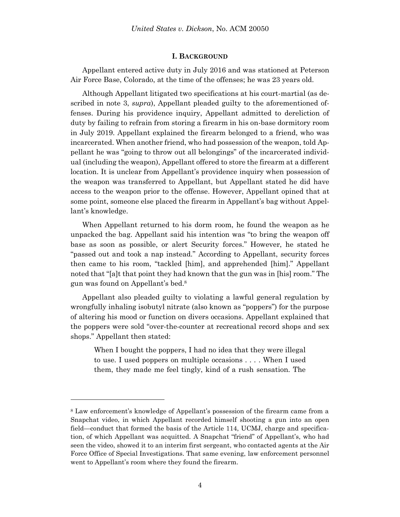#### **I. BACKGROUND**

Appellant entered active duty in July 2016 and was stationed at Peterson Air Force Base, Colorado, at the time of the offenses; he was 23 years old.

Although Appellant litigated two specifications at his court-martial (as described in note 3, *supra*), Appellant pleaded guilty to the aforementioned offenses. During his providence inquiry, Appellant admitted to dereliction of duty by failing to refrain from storing a firearm in his on-base dormitory room in July 2019. Appellant explained the firearm belonged to a friend, who was incarcerated. When another friend, who had possession of the weapon, told Appellant he was "going to throw out all belongings" of the incarcerated individual (including the weapon), Appellant offered to store the firearm at a different location. It is unclear from Appellant's providence inquiry when possession of the weapon was transferred to Appellant, but Appellant stated he did have access to the weapon prior to the offense. However, Appellant opined that at some point, someone else placed the firearm in Appellant's bag without Appellant's knowledge.

When Appellant returned to his dorm room, he found the weapon as he unpacked the bag. Appellant said his intention was "to bring the weapon off base as soon as possible, or alert Security forces." However, he stated he "passed out and took a nap instead." According to Appellant, security forces then came to his room, "tackled [him], and apprehended [him]." Appellant noted that "[a]t that point they had known that the gun was in [his] room." The gun was found on Appellant's bed.<sup>8</sup>

Appellant also pleaded guilty to violating a lawful general regulation by wrongfully inhaling isobutyl nitrate (also known as "poppers") for the purpose of altering his mood or function on divers occasions. Appellant explained that the poppers were sold "over-the-counter at recreational record shops and sex shops." Appellant then stated:

When I bought the poppers, I had no idea that they were illegal to use. I used poppers on multiple occasions . . . . When I used them, they made me feel tingly, kind of a rush sensation. The

<sup>8</sup> Law enforcement's knowledge of Appellant's possession of the firearm came from a Snapchat video, in which Appellant recorded himself shooting a gun into an open field—conduct that formed the basis of the Article 114, UCMJ, charge and specification, of which Appellant was acquitted. A Snapchat "friend" of Appellant's, who had seen the video, showed it to an interim first sergeant, who contacted agents at the Air Force Office of Special Investigations. That same evening, law enforcement personnel went to Appellant's room where they found the firearm.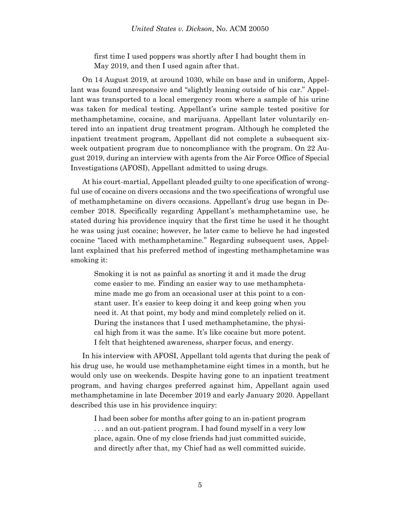first time I used poppers was shortly after I had bought them in May 2019, and then I used again after that.

On 14 August 2019, at around 1030, while on base and in uniform, Appellant was found unresponsive and "slightly leaning outside of his car." Appellant was transported to a local emergency room where a sample of his urine was taken for medical testing. Appellant's urine sample tested positive for methamphetamine, cocaine, and marijuana. Appellant later voluntarily entered into an inpatient drug treatment program. Although he completed the inpatient treatment program, Appellant did not complete a subsequent sixweek outpatient program due to noncompliance with the program. On 22 August 2019, during an interview with agents from the Air Force Office of Special Investigations (AFOSI), Appellant admitted to using drugs.

At his court-martial, Appellant pleaded guilty to one specification of wrongful use of cocaine on divers occasions and the two specifications of wrongful use of methamphetamine on divers occasions. Appellant's drug use began in December 2018. Specifically regarding Appellant's methamphetamine use, he stated during his providence inquiry that the first time he used it he thought he was using just cocaine; however, he later came to believe he had ingested cocaine "laced with methamphetamine." Regarding subsequent uses, Appellant explained that his preferred method of ingesting methamphetamine was smoking it:

Smoking it is not as painful as snorting it and it made the drug come easier to me. Finding an easier way to use methamphetamine made me go from an occasional user at this point to a constant user. It's easier to keep doing it and keep going when you need it. At that point, my body and mind completely relied on it. During the instances that I used methamphetamine, the physical high from it was the same. It's like cocaine but more potent. I felt that heightened awareness, sharper focus, and energy.

In his interview with AFOSI, Appellant told agents that during the peak of his drug use, he would use methamphetamine eight times in a month, but he would only use on weekends. Despite having gone to an inpatient treatment program, and having charges preferred against him, Appellant again used methamphetamine in late December 2019 and early January 2020. Appellant described this use in his providence inquiry:

I had been sober for months after going to an in-patient program . . . and an out-patient program. I had found myself in a very low place, again. One of my close friends had just committed suicide, and directly after that, my Chief had as well committed suicide.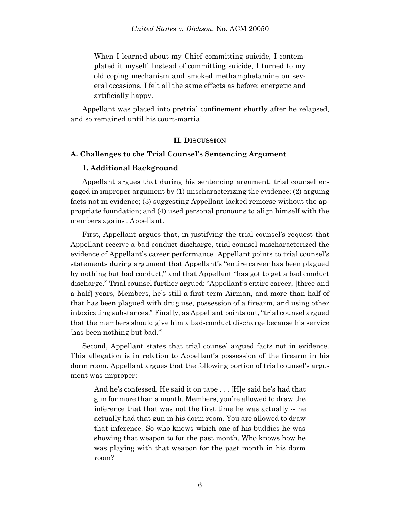When I learned about my Chief committing suicide, I contemplated it myself. Instead of committing suicide, I turned to my old coping mechanism and smoked methamphetamine on several occasions. I felt all the same effects as before: energetic and artificially happy.

Appellant was placed into pretrial confinement shortly after he relapsed, and so remained until his court-martial.

### **II. DISCUSSION**

### **A. Challenges to the Trial Counsel's Sentencing Argument**

### **1. Additional Background**

Appellant argues that during his sentencing argument, trial counsel engaged in improper argument by (1) mischaracterizing the evidence; (2) arguing facts not in evidence; (3) suggesting Appellant lacked remorse without the appropriate foundation; and (4) used personal pronouns to align himself with the members against Appellant.

First, Appellant argues that, in justifying the trial counsel's request that Appellant receive a bad-conduct discharge, trial counsel mischaracterized the evidence of Appellant's career performance. Appellant points to trial counsel's statements during argument that Appellant's "entire career has been plagued by nothing but bad conduct," and that Appellant "has got to get a bad conduct discharge." Trial counsel further argued: "Appellant's entire career, [three and a half] years, Members, he's still a first-term Airman, and more than half of that has been plagued with drug use, possession of a firearm, and using other intoxicating substances." Finally, as Appellant points out, "trial counsel argued that the members should give him a bad-conduct discharge because his service 'has been nothing but bad.'"

Second, Appellant states that trial counsel argued facts not in evidence. This allegation is in relation to Appellant's possession of the firearm in his dorm room. Appellant argues that the following portion of trial counsel's argument was improper:

And he's confessed. He said it on tape . . . [H]e said he's had that gun for more than a month. Members, you're allowed to draw the inference that that was not the first time he was actually -- he actually had that gun in his dorm room. You are allowed to draw that inference. So who knows which one of his buddies he was showing that weapon to for the past month. Who knows how he was playing with that weapon for the past month in his dorm room?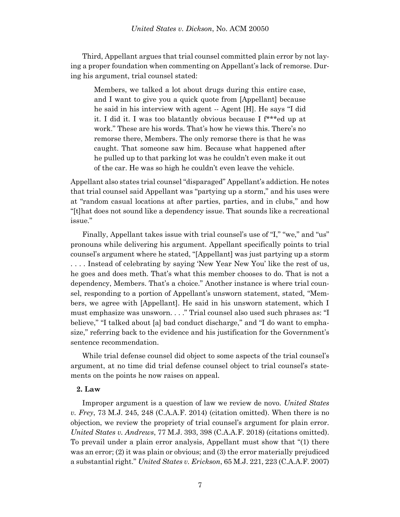Third, Appellant argues that trial counsel committed plain error by not laying a proper foundation when commenting on Appellant's lack of remorse. During his argument, trial counsel stated:

Members, we talked a lot about drugs during this entire case, and I want to give you a quick quote from [Appellant] because he said in his interview with agent -- Agent [H]. He says "I did it. I did it. I was too blatantly obvious because I f\*\*\*ed up at work." These are his words. That's how he views this. There's no remorse there, Members. The only remorse there is that he was caught. That someone saw him. Because what happened after he pulled up to that parking lot was he couldn't even make it out of the car. He was so high he couldn't even leave the vehicle.

Appellant also states trial counsel "disparaged" Appellant's addiction. He notes that trial counsel said Appellant was "partying up a storm," and his uses were at "random casual locations at after parties, parties, and in clubs," and how "[t]hat does not sound like a dependency issue. That sounds like a recreational issue."

Finally, Appellant takes issue with trial counsel's use of "I," "we," and "us" pronouns while delivering his argument. Appellant specifically points to trial counsel's argument where he stated, "[Appellant] was just partying up a storm . . . . Instead of celebrating by saying 'New Year New You' like the rest of us, he goes and does meth. That's what this member chooses to do. That is not a dependency, Members. That's a choice." Another instance is where trial counsel, responding to a portion of Appellant's unsworn statement, stated, "Members, we agree with [Appellant]. He said in his unsworn statement, which I must emphasize was unsworn. . . ." Trial counsel also used such phrases as: "I believe," "I talked about [a] bad conduct discharge," and "I do want to emphasize," referring back to the evidence and his justification for the Government's sentence recommendation.

While trial defense counsel did object to some aspects of the trial counsel's argument, at no time did trial defense counsel object to trial counsel's statements on the points he now raises on appeal.

#### **2. Law**

Improper argument is a question of law we review de novo. *United States v. Frey*, 73 M.J. 245, 248 (C.A.A.F. 2014) (citation omitted). When there is no objection, we review the propriety of trial counsel's argument for plain error. *United States v. Andrews*, 77 M.J. 393, 398 (C.A.A.F. 2018) (citations omitted). To prevail under a plain error analysis, Appellant must show that "(1) there was an error; (2) it was plain or obvious; and (3) the error materially prejudiced a substantial right." *United States v. Erickson*, 65 M.J. 221, 223 (C.A.A.F. 2007)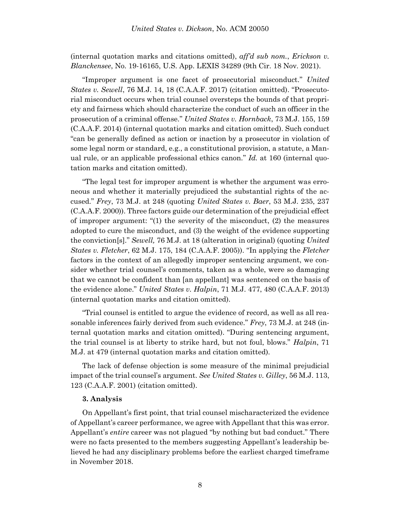(internal quotation marks and citations omitted), *aff'd sub nom.*, *Erickson v. Blanckensee*, No. 19-16165, U.S. App. LEXIS 34289 (9th Cir. 18 Nov. 2021).

"Improper argument is one facet of prosecutorial misconduct." *United States v. Sewell*, 76 M.J. 14, 18 (C.A.A.F. 2017) (citation omitted). "Prosecutorial misconduct occurs when trial counsel oversteps the bounds of that propriety and fairness which should characterize the conduct of such an officer in the prosecution of a criminal offense." *United States v. Hornback*, 73 M.J. 155, 159 (C.A.A.F. 2014) (internal quotation marks and citation omitted). Such conduct "can be generally defined as action or inaction by a prosecutor in violation of some legal norm or standard, e.g., a constitutional provision, a statute, a Manual rule, or an applicable professional ethics canon." *Id.* at 160 (internal quotation marks and citation omitted).

"The legal test for improper argument is whether the argument was erroneous and whether it materially prejudiced the substantial rights of the accused." *Frey*, 73 M.J. at 248 (quoting *United States v. Baer*, 53 M.J. 235, 237 (C.A.A.F. 2000)). Three factors guide our determination of the prejudicial effect of improper argument: " $(1)$  the severity of the misconduct,  $(2)$  the measures adopted to cure the misconduct, and (3) the weight of the evidence supporting the conviction[s]." *Sewell,* 76 M.J. at 18 (alteration in original) (quoting *United States v. Fletcher*, 62 M.J. 175, 184 (C.A.A.F. 2005)). "In applying the *Fletcher*  factors in the context of an allegedly improper sentencing argument, we consider whether trial counsel's comments, taken as a whole, were so damaging that we cannot be confident than [an appellant] was sentenced on the basis of the evidence alone." *United States v. Halpin*, 71 M.J. 477, 480 (C.A.A.F. 2013) (internal quotation marks and citation omitted).

"Trial counsel is entitled to argue the evidence of record, as well as all reasonable inferences fairly derived from such evidence." *Frey*, 73 M.J. at 248 (internal quotation marks and citation omitted). "During sentencing argument, the trial counsel is at liberty to strike hard, but not foul, blows." *Halpin*, 71 M.J. at 479 (internal quotation marks and citation omitted).

The lack of defense objection is some measure of the minimal prejudicial impact of the trial counsel's argument. *See United States v. Gilley*, 56 M.J. 113, 123 (C.A.A.F. 2001) (citation omitted).

#### **3. Analysis**

On Appellant's first point, that trial counsel mischaracterized the evidence of Appellant's career performance, we agree with Appellant that this was error. Appellant's *entire* career was not plagued "by nothing but bad conduct." There were no facts presented to the members suggesting Appellant's leadership believed he had any disciplinary problems before the earliest charged timeframe in November 2018.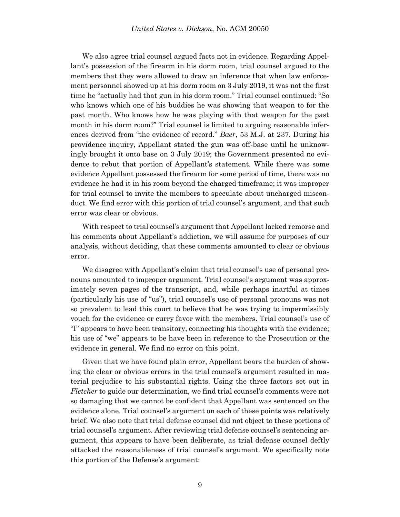We also agree trial counsel argued facts not in evidence. Regarding Appellant's possession of the firearm in his dorm room, trial counsel argued to the members that they were allowed to draw an inference that when law enforcement personnel showed up at his dorm room on 3 July 2019, it was not the first time he "actually had that gun in his dorm room." Trial counsel continued: "So who knows which one of his buddies he was showing that weapon to for the past month. Who knows how he was playing with that weapon for the past month in his dorm room?" Trial counsel is limited to arguing reasonable inferences derived from "the evidence of record." *Baer*, 53 M.J. at 237. During his providence inquiry, Appellant stated the gun was off-base until he unknowingly brought it onto base on 3 July 2019; the Government presented no evidence to rebut that portion of Appellant's statement. While there was some evidence Appellant possessed the firearm for some period of time, there was no evidence he had it in his room beyond the charged timeframe; it was improper for trial counsel to invite the members to speculate about uncharged misconduct. We find error with this portion of trial counsel's argument, and that such error was clear or obvious.

With respect to trial counsel's argument that Appellant lacked remorse and his comments about Appellant's addiction, we will assume for purposes of our analysis, without deciding, that these comments amounted to clear or obvious error.

We disagree with Appellant's claim that trial counsel's use of personal pronouns amounted to improper argument. Trial counsel's argument was approximately seven pages of the transcript, and, while perhaps inartful at times (particularly his use of "us"), trial counsel's use of personal pronouns was not so prevalent to lead this court to believe that he was trying to impermissibly vouch for the evidence or curry favor with the members. Trial counsel's use of "I" appears to have been transitory, connecting his thoughts with the evidence; his use of "we" appears to be have been in reference to the Prosecution or the evidence in general. We find no error on this point.

Given that we have found plain error, Appellant bears the burden of showing the clear or obvious errors in the trial counsel's argument resulted in material prejudice to his substantial rights. Using the three factors set out in *Fletcher* to guide our determination, we find trial counsel's comments were not so damaging that we cannot be confident that Appellant was sentenced on the evidence alone. Trial counsel's argument on each of these points was relatively brief. We also note that trial defense counsel did not object to these portions of trial counsel's argument. After reviewing trial defense counsel's sentencing argument, this appears to have been deliberate, as trial defense counsel deftly attacked the reasonableness of trial counsel's argument. We specifically note this portion of the Defense's argument: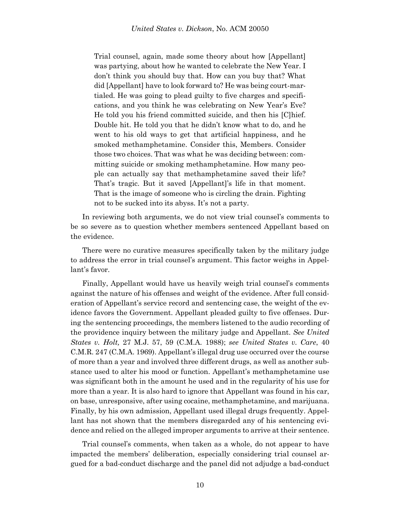Trial counsel, again, made some theory about how [Appellant] was partying, about how he wanted to celebrate the New Year. I don't think you should buy that. How can you buy that? What did [Appellant] have to look forward to? He was being court-martialed. He was going to plead guilty to five charges and specifications, and you think he was celebrating on New Year's Eve? He told you his friend committed suicide, and then his [C]hief. Double hit. He told you that he didn't know what to do, and he went to his old ways to get that artificial happiness, and he smoked methamphetamine. Consider this, Members. Consider those two choices. That was what he was deciding between: committing suicide or smoking methamphetamine. How many people can actually say that methamphetamine saved their life? That's tragic. But it saved [Appellant]'s life in that moment. That is the image of someone who is circling the drain. Fighting not to be sucked into its abyss. It's not a party.

In reviewing both arguments, we do not view trial counsel's comments to be so severe as to question whether members sentenced Appellant based on the evidence.

There were no curative measures specifically taken by the military judge to address the error in trial counsel's argument. This factor weighs in Appellant's favor.

Finally, Appellant would have us heavily weigh trial counsel's comments against the nature of his offenses and weight of the evidence. After full consideration of Appellant's service record and sentencing case, the weight of the evidence favors the Government. Appellant pleaded guilty to five offenses. During the sentencing proceedings, the members listened to the audio recording of the providence inquiry between the military judge and Appellant. *See United States v. Holt,* 27 M.J. 57, 59 (C.M.A. 1988); *see United States v. Care*, 40 C.M.R. 247 (C.M.A. 1969). Appellant's illegal drug use occurred over the course of more than a year and involved three different drugs, as well as another substance used to alter his mood or function. Appellant's methamphetamine use was significant both in the amount he used and in the regularity of his use for more than a year. It is also hard to ignore that Appellant was found in his car, on base, unresponsive, after using cocaine, methamphetamine, and marijuana. Finally, by his own admission, Appellant used illegal drugs frequently. Appellant has not shown that the members disregarded any of his sentencing evidence and relied on the alleged improper arguments to arrive at their sentence.

Trial counsel's comments, when taken as a whole, do not appear to have impacted the members' deliberation, especially considering trial counsel argued for a bad-conduct discharge and the panel did not adjudge a bad-conduct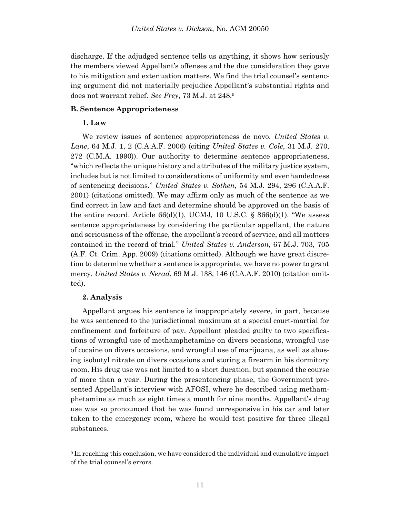discharge. If the adjudged sentence tells us anything, it shows how seriously the members viewed Appellant's offenses and the due consideration they gave to his mitigation and extenuation matters. We find the trial counsel's sentencing argument did not materially prejudice Appellant's substantial rights and does not warrant relief. *See Frey*, 73 M.J. at 248. 9

#### **B. Sentence Appropriateness**

### **1. Law**

We review issues of sentence appropriateness de novo. *United States v. Lane*, 64 M.J. 1, 2 (C.A.A.F. 2006) (citing *United States v. Cole*, 31 M.J. 270, 272 (C.M.A. 1990)). Our authority to determine sentence appropriateness, "which reflects the unique history and attributes of the military justice system, includes but is not limited to considerations of uniformity and evenhandedness of sentencing decisions." *United States v. Sothen*, 54 M.J. 294, 296 (C.A.A.F. 2001) (citations omitted). We may affirm only as much of the sentence as we find correct in law and fact and determine should be approved on the basis of the entire record. Article  $66(d)(1)$ , UCMJ, 10 U.S.C. §  $866(d)(1)$ . "We assess sentence appropriateness by considering the particular appellant, the nature and seriousness of the offense, the appellant's record of service, and all matters contained in the record of trial." *United States v. Anderson*, 67 M.J. 703, 705 (A.F. Ct. Crim. App. 2009) (citations omitted). Although we have great discretion to determine whether a sentence is appropriate, we have no power to grant mercy. *United States v. Nerad*, 69 M.J. 138, 146 (C.A.A.F. 2010) (citation omitted).

#### **2. Analysis**

l

Appellant argues his sentence is inappropriately severe, in part, because he was sentenced to the jurisdictional maximum at a special court-martial for confinement and forfeiture of pay. Appellant pleaded guilty to two specifications of wrongful use of methamphetamine on divers occasions, wrongful use of cocaine on divers occasions, and wrongful use of marijuana, as well as abusing isobutyl nitrate on divers occasions and storing a firearm in his dormitory room. His drug use was not limited to a short duration, but spanned the course of more than a year. During the presentencing phase, the Government presented Appellant's interview with AFOSI, where he described using methamphetamine as much as eight times a month for nine months. Appellant's drug use was so pronounced that he was found unresponsive in his car and later taken to the emergency room, where he would test positive for three illegal substances.

<sup>9</sup> In reaching this conclusion, we have considered the individual and cumulative impact of the trial counsel's errors.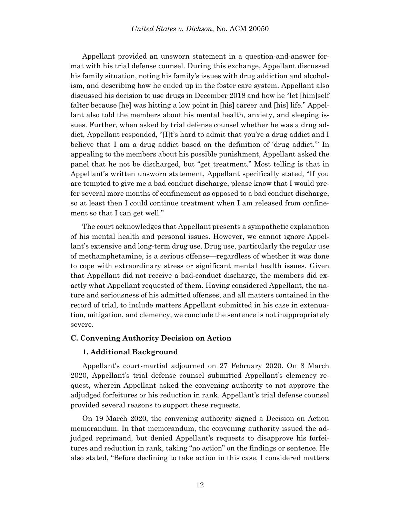Appellant provided an unsworn statement in a question-and-answer format with his trial defense counsel. During this exchange, Appellant discussed his family situation, noting his family's issues with drug addiction and alcoholism, and describing how he ended up in the foster care system. Appellant also discussed his decision to use drugs in December 2018 and how he "let [him]self falter because [he] was hitting a low point in [his] career and [his] life." Appellant also told the members about his mental health, anxiety, and sleeping issues. Further, when asked by trial defense counsel whether he was a drug addict, Appellant responded, "[I]t's hard to admit that you're a drug addict and I believe that I am a drug addict based on the definition of 'drug addict.'" In appealing to the members about his possible punishment, Appellant asked the panel that he not be discharged, but "get treatment." Most telling is that in Appellant's written unsworn statement, Appellant specifically stated, "If you are tempted to give me a bad conduct discharge, please know that I would prefer several more months of confinement as opposed to a bad conduct discharge, so at least then I could continue treatment when I am released from confinement so that I can get well."

The court acknowledges that Appellant presents a sympathetic explanation of his mental health and personal issues. However, we cannot ignore Appellant's extensive and long-term drug use. Drug use, particularly the regular use of methamphetamine, is a serious offense—regardless of whether it was done to cope with extraordinary stress or significant mental health issues. Given that Appellant did not receive a bad-conduct discharge, the members did exactly what Appellant requested of them. Having considered Appellant, the nature and seriousness of his admitted offenses, and all matters contained in the record of trial, to include matters Appellant submitted in his case in extenuation, mitigation, and clemency, we conclude the sentence is not inappropriately severe.

### **C. Convening Authority Decision on Action**

### **1. Additional Background**

Appellant's court-martial adjourned on 27 February 2020. On 8 March 2020, Appellant's trial defense counsel submitted Appellant's clemency request, wherein Appellant asked the convening authority to not approve the adjudged forfeitures or his reduction in rank. Appellant's trial defense counsel provided several reasons to support these requests.

On 19 March 2020, the convening authority signed a Decision on Action memorandum. In that memorandum, the convening authority issued the adjudged reprimand, but denied Appellant's requests to disapprove his forfeitures and reduction in rank, taking "no action" on the findings or sentence. He also stated, "Before declining to take action in this case, I considered matters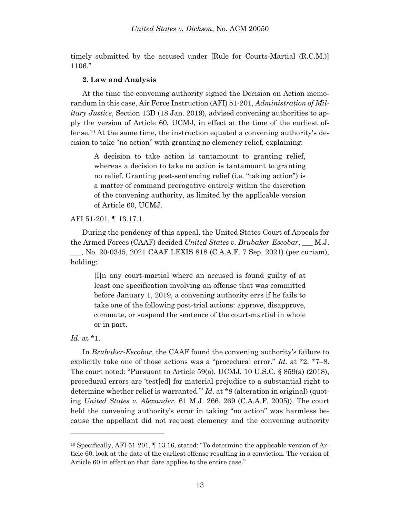timely submitted by the accused under [Rule for Courts-Martial (R.C.M.)] 1106."

### **2. Law and Analysis**

At the time the convening authority signed the Decision on Action memorandum in this case, Air Force Instruction (AFI) 51-201, *Administration of Military Justice*, Section 13D (18 Jan. 2019), advised convening authorities to apply the version of Article 60, UCMJ, in effect at the time of the earliest offense.<sup>10</sup> At the same time, the instruction equated a convening authority's decision to take "no action" with granting no clemency relief, explaining:

A decision to take action is tantamount to granting relief, whereas a decision to take no action is tantamount to granting no relief. Granting post-sentencing relief (i.e. "taking action") is a matter of command prerogative entirely within the discretion of the convening authority, as limited by the applicable version of Article 60, UCMJ.

### AFI 51-201, ¶ 13.17.1.

During the pendency of this appeal, the United States Court of Appeals for the Armed Forces (CAAF) decided *United States v. Brubaker-Escobar*, \_\_\_ M.J. \_\_\_, No. 20-0345, 2021 CAAF LEXIS 818 (C.A.A.F. 7 Sep. 2021) (per curiam), holding:

[I]n any court-martial where an accused is found guilty of at least one specification involving an offense that was committed before January 1, 2019, a convening authority errs if he fails to take one of the following post-trial actions: approve, disapprove, commute, or suspend the sentence of the court-martial in whole or in part.

# *Id*. at \*1.

l

In *Brubaker-Escobar*, the CAAF found the convening authority's failure to explicitly take one of those actions was a "procedural error." *Id*. at \*2, \*7–8. The court noted: "Pursuant to Article 59(a), UCMJ, 10 U.S.C.  $\S$  859(a) (2018), procedural errors are 'test[ed] for material prejudice to a substantial right to determine whether relief is warranted.'" *Id*. at \*8 (alteration in original) (quoting *United States v. Alexander,* 61 M.J. 266, 269 (C.A.A.F. 2005)). The court held the convening authority's error in taking "no action" was harmless because the appellant did not request clemency and the convening authority

<sup>&</sup>lt;sup>10</sup> Specifically, AFI 51-201,  $\P$  13.16, stated: "To determine the applicable version of Article 60, look at the date of the earliest offense resulting in a conviction. The version of Article 60 in effect on that date applies to the entire case."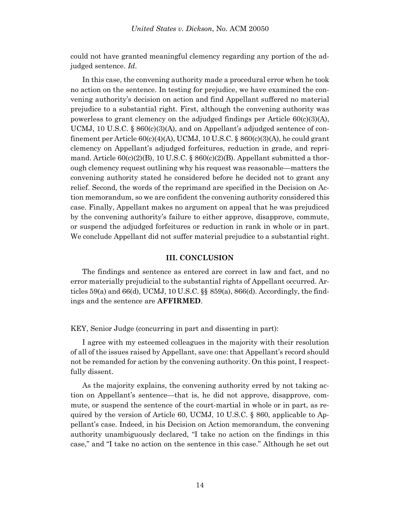could not have granted meaningful clemency regarding any portion of the adjudged sentence. *Id*.

In this case, the convening authority made a procedural error when he took no action on the sentence. In testing for prejudice, we have examined the convening authority's decision on action and find Appellant suffered no material prejudice to a substantial right. First, although the convening authority was powerless to grant clemency on the adjudged findings per Article 60(c)(3)(A), UCMJ, 10 U.S.C.  $\S 860(c)(3)(A)$ , and on Appellant's adjudged sentence of confinement per Article  $60(c)(4)(A)$ , UCMJ, 10 U.S.C. §  $860(c)(3)(A)$ , he could grant clemency on Appellant's adjudged forfeitures, reduction in grade, and reprimand. Article  $60(c)(2)(B)$ , 10 U.S.C. §  $860(c)(2)(B)$ . Appellant submitted a thorough clemency request outlining why his request was reasonable—matters the convening authority stated he considered before he decided not to grant any relief. Second, the words of the reprimand are specified in the Decision on Action memorandum, so we are confident the convening authority considered this case. Finally, Appellant makes no argument on appeal that he was prejudiced by the convening authority's failure to either approve, disapprove, commute, or suspend the adjudged forfeitures or reduction in rank in whole or in part. We conclude Appellant did not suffer material prejudice to a substantial right.

#### **III. CONCLUSION**

The findings and sentence as entered are correct in law and fact, and no error materially prejudicial to the substantial rights of Appellant occurred. Articles  $59(a)$  and  $66(d)$ , UCMJ, 10 U.S.C.  $\S$  $\S$   $859(a)$ ,  $866(d)$ . Accordingly, the findings and the sentence are **AFFIRMED**.

KEY, Senior Judge (concurring in part and dissenting in part):

I agree with my esteemed colleagues in the majority with their resolution of all of the issues raised by Appellant, save one: that Appellant's record should not be remanded for action by the convening authority. On this point, I respectfully dissent.

As the majority explains, the convening authority erred by not taking action on Appellant's sentence—that is, he did not approve, disapprove, commute, or suspend the sentence of the court-martial in whole or in part, as required by the version of Article 60, UCMJ, 10 U.S.C. § 860, applicable to Appellant's case. Indeed, in his Decision on Action memorandum, the convening authority unambiguously declared, "I take no action on the findings in this case," and "I take no action on the sentence in this case." Although he set out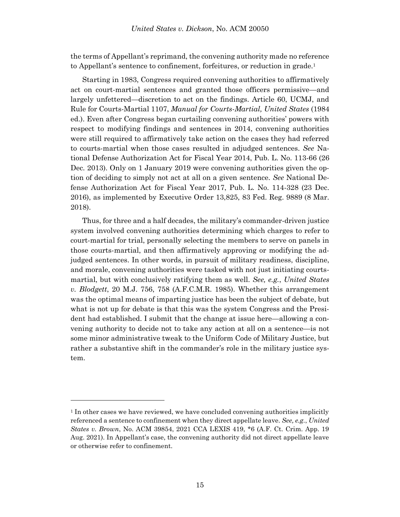the terms of Appellant's reprimand, the convening authority made no reference to Appellant's sentence to confinement, forfeitures, or reduction in grade.<sup>1</sup>

Starting in 1983, Congress required convening authorities to affirmatively act on court-martial sentences and granted those officers permissive—and largely unfettered—discretion to act on the findings. Article 60, UCMJ, and Rule for Courts-Martial 1107, *Manual for Courts-Martial, United States* (1984 ed.). Even after Congress began curtailing convening authorities' powers with respect to modifying findings and sentences in 2014, convening authorities were still required to affirmatively take action on the cases they had referred to courts-martial when those cases resulted in adjudged sentences. *See* National Defense Authorization Act for Fiscal Year 2014, Pub. L. No. 113-66 (26 Dec. 2013). Only on 1 January 2019 were convening authorities given the option of deciding to simply not act at all on a given sentence. *See* National Defense Authorization Act for Fiscal Year 2017, Pub. L. No. 114-328 (23 Dec. 2016), as implemented by Executive Order 13,825, 83 Fed. Reg. 9889 (8 Mar. 2018).

Thus, for three and a half decades, the military's commander-driven justice system involved convening authorities determining which charges to refer to court-martial for trial, personally selecting the members to serve on panels in those courts-martial, and then affirmatively approving or modifying the adjudged sentences. In other words, in pursuit of military readiness, discipline, and morale, convening authorities were tasked with not just initiating courtsmartial, but with conclusively ratifying them as well. *See, e.g.*, *United States v. Blodgett*, 20 M.J. 756, 758 (A.F.C.M.R. 1985). Whether this arrangement was the optimal means of imparting justice has been the subject of debate, but what is not up for debate is that this was the system Congress and the President had established. I submit that the change at issue here—allowing a convening authority to decide not to take any action at all on a sentence—is not some minor administrative tweak to the Uniform Code of Military Justice, but rather a substantive shift in the commander's role in the military justice system.

<sup>&</sup>lt;sup>1</sup> In other cases we have reviewed, we have concluded convening authorities implicitly referenced a sentence to confinement when they direct appellate leave. *See, e.g.*, *United States v. Brown*, No. ACM 39854, 2021 CCA LEXIS 419, \*6 (A.F. Ct. Crim. App. 19 Aug. 2021). In Appellant's case, the convening authority did not direct appellate leave or otherwise refer to confinement.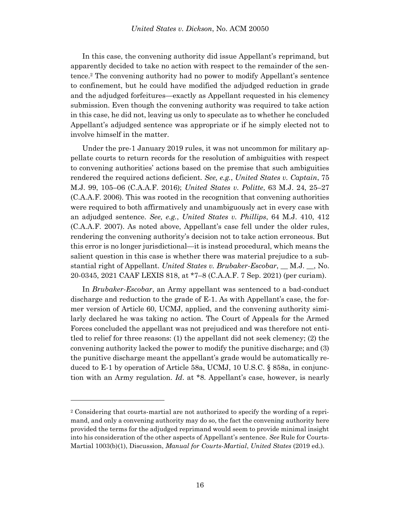In this case, the convening authority did issue Appellant's reprimand, but apparently decided to take no action with respect to the remainder of the sentence.<sup>2</sup> The convening authority had no power to modify Appellant's sentence to confinement, but he could have modified the adjudged reduction in grade and the adjudged forfeitures—exactly as Appellant requested in his clemency submission. Even though the convening authority was required to take action in this case, he did not, leaving us only to speculate as to whether he concluded Appellant's adjudged sentence was appropriate or if he simply elected not to involve himself in the matter.

Under the pre-1 January 2019 rules, it was not uncommon for military appellate courts to return records for the resolution of ambiguities with respect to convening authorities' actions based on the premise that such ambiguities rendered the required actions deficient. *See, e.g.*, *United States v. Captain*, 75 M.J. 99, 105–06 (C.A.A.F. 2016); *United States v. Politte*, 63 M.J. 24, 25–27 (C.A.A.F. 2006). This was rooted in the recognition that convening authorities were required to both affirmatively and unambiguously act in every case with an adjudged sentence. *See, e.g.*, *United States v. Phillips*, 64 M.J. 410, 412 (C.A.A.F. 2007). As noted above, Appellant's case fell under the older rules, rendering the convening authority's decision not to take action erroneous. But this error is no longer jurisdictional—it is instead procedural, which means the salient question in this case is whether there was material prejudice to a substantial right of Appellant. *United States v. Brubaker-Escobar*, \_\_ M.J. \_\_, No. 20-0345, 2021 CAAF LEXIS 818, at \*7–8 (C.A.A.F. 7 Sep. 2021) (per curiam).

In *Brubaker-Escobar*, an Army appellant was sentenced to a bad-conduct discharge and reduction to the grade of E-1. As with Appellant's case, the former version of Article 60, UCMJ, applied, and the convening authority similarly declared he was taking no action. The Court of Appeals for the Armed Forces concluded the appellant was not prejudiced and was therefore not entitled to relief for three reasons: (1) the appellant did not seek clemency; (2) the convening authority lacked the power to modify the punitive discharge; and (3) the punitive discharge meant the appellant's grade would be automatically reduced to E-1 by operation of Article 58a, UCMJ, 10 U.S.C. § 858a, in conjunction with an Army regulation. *Id*. at \*8. Appellant's case, however, is nearly

<sup>2</sup> Considering that courts-martial are not authorized to specify the wording of a reprimand, and only a convening authority may do so, the fact the convening authority here provided the terms for the adjudged reprimand would seem to provide minimal insight into his consideration of the other aspects of Appellant's sentence. *See* Rule for Courts-Martial 1003(b)(1), Discussion, *Manual for Courts-Martial*, *United States* (2019 ed.).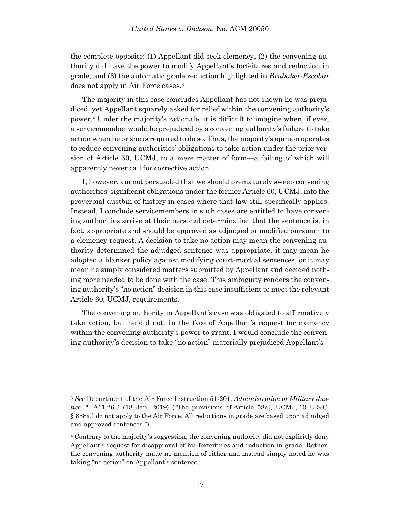the complete opposite: (1) Appellant did seek clemency, (2) the convening authority did have the power to modify Appellant's forfeitures and reduction in grade, and (3) the automatic grade reduction highlighted in *Brubaker-Escobar* does not apply in Air Force cases.<sup>3</sup>

The majority in this case concludes Appellant has not shown he was prejudiced, yet Appellant squarely asked for relief within the convening authority's power.<sup>4</sup> Under the majority's rationale, it is difficult to imagine when, if ever, a servicemember would be prejudiced by a convening authority's failure to take action when he or she is required to do so. Thus, the majority's opinion operates to reduce convening authorities' obligations to take action under the prior version of Article 60, UCMJ, to a mere matter of form—a failing of which will apparently never call for corrective action.

I, however, am not persuaded that we should prematurely sweep convening authorities' significant obligations under the former Article 60, UCMJ, into the proverbial dustbin of history in cases where that law still specifically applies. Instead, I conclude servicemembers in such cases are entitled to have convening authorities arrive at their personal determination that the sentence is, in fact, appropriate and should be approved as adjudged or modified pursuant to a clemency request. A decision to take no action may mean the convening authority determined the adjudged sentence was appropriate, it may mean he adopted a blanket policy against modifying court-martial sentences, or it may mean he simply considered matters submitted by Appellant and decided nothing more needed to be done with the case. This ambiguity renders the convening authority's "no action" decision in this case insufficient to meet the relevant Article 60, UCMJ, requirements.

The convening authority in Appellant's case was obligated to affirmatively take action, but he did not. In the face of Appellant's request for clemency within the convening authority's power to grant, I would conclude the convening authority's decision to take "no action" materially prejudiced Appellant's

<sup>3</sup> *See* Department of the Air Force Instruction 51-201, *Administration of Military Justice*, ¶ A11.26.3 (18 Jan. 2019) ("The provisions of Article 58a[, UCMJ, 10 U.S.C. § 858a,] do not apply to the Air Force. All reductions in grade are based upon adjudged and approved sentences.").

<sup>4</sup> Contrary to the majority's suggestion, the convening authority did not explicitly deny Appellant's request for disapproval of his forfeitures and reduction in grade. Rather, the convening authority made no mention of either and instead simply noted he was taking "no action" on Appellant's sentence.